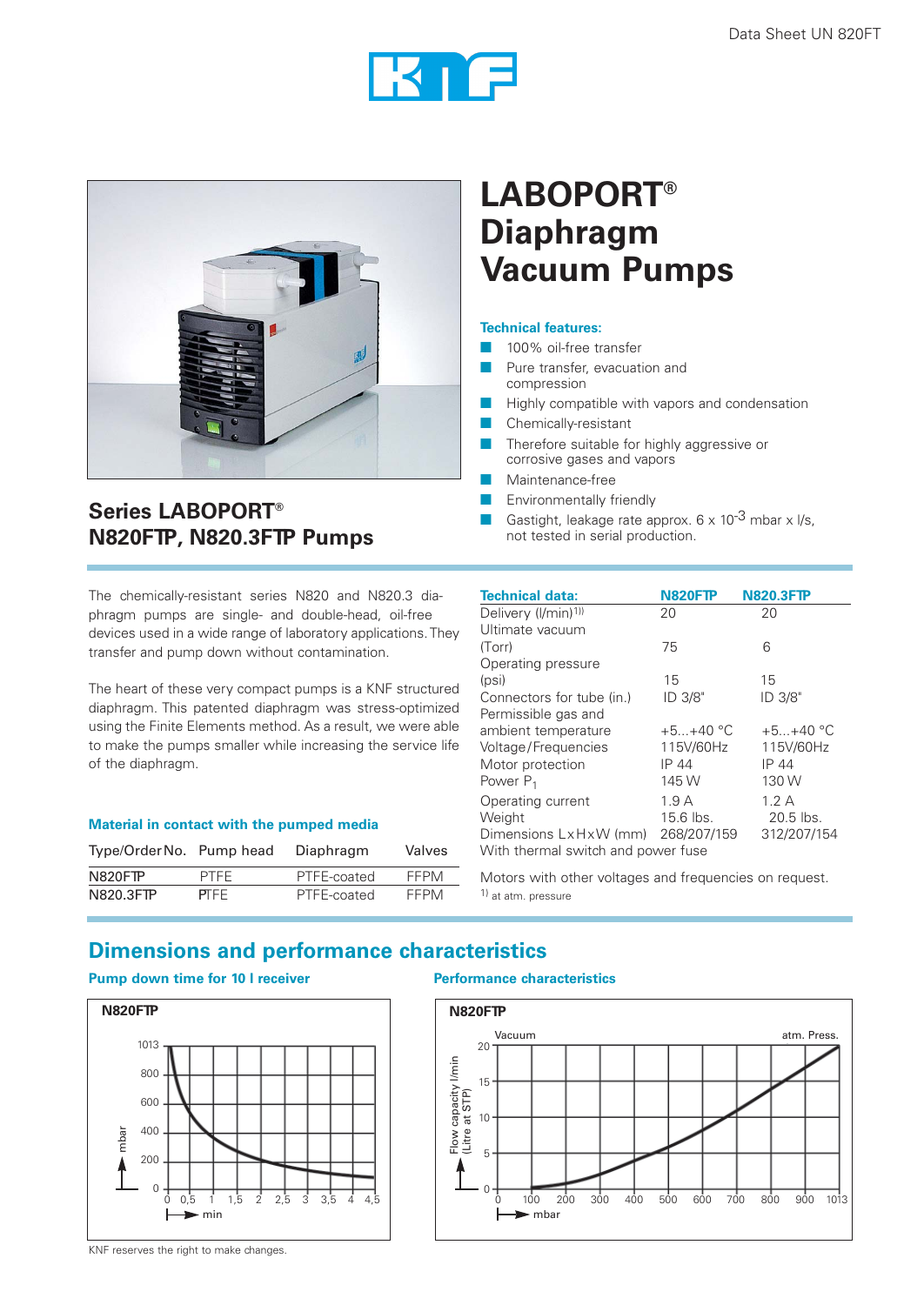



## **LABOPORT® Diaphragm Vacuum Pumps**

#### **Technical features:**

- **100% oil-free transfer**
- Pure transfer, evacuation and
- compression
- Highly compatible with vapors and condensation
- **Chemically-resistant**
- Therefore suitable for highly aggressive or corrosive gases and vapors
- Maintenance-free
- Environmentally friendly
- Gastight, leakage rate approx.  $6 \times 10^{-3}$  mbar x l/s, not tested in serial production.

The chemically-resistant series N820 and N820.3 diaphragm pumps are single- and double-head, oil-free devices used in a wide range of laboratory applications. They transfer and pump down without contamination.

The heart of these very compact pumps is a KNF structured diaphragm. This patented diaphragm was stress-optimized using the Finite Elements method. As a result, we were able to make the pumps smaller while increasing the service life of the diaphragm.

### **Material in contact with the pumped media**

| Type/Order No. Pump head |             | Diaphragm   | Valves      |
|--------------------------|-------------|-------------|-------------|
| N820FTP                  | <b>PTFF</b> | PTFE-coated | FFPM        |
| N820.3FTP                | <b>PTFF</b> | PTFE-coated | <b>FFPM</b> |

| <b>Technical data:</b>             | <b>N820FTP</b> | <b>N820.3FTP</b> |  |
|------------------------------------|----------------|------------------|--|
| Delivery (I/min) <sup>1))</sup>    | 20             | 20               |  |
| Ultimate vacuum                    |                |                  |  |
| (Torr)                             | 75             | 6                |  |
| Operating pressure                 |                |                  |  |
| (psi)                              | 15             | 15               |  |
| Connectors for tube (in.)          | ID 3/8"        | ID 3/8"          |  |
| Permissible gas and                |                |                  |  |
| ambient temperature                | $+5+40$ °C     | $+5+40$ °C       |  |
| Voltage/Frequencies                | 115V/60Hz      | 115V/60Hz        |  |
| Motor protection                   | IP 44          | IP 44            |  |
| Power $P_1$                        | 145 W          | 130 W            |  |
| Operating current                  | 1.9A           | 1.2A             |  |
| Weight                             | $15.6$ lbs.    | $20.5$ lbs.      |  |
| Dimensions LxHxW (mm) 268/207/159  |                | 312/207/154      |  |
| With thermal switch and power fuse |                |                  |  |

Motors with other voltages and frequencies on request. 1) at atm. pressure

## **Dimensions and performance characteristics**

### **Pump down time for 10 l receiver Performance characteristics**

**Series LABOPORT®**

**N820FTP, N820.3FTP Pumps**





KNF reserves the right to make changes.